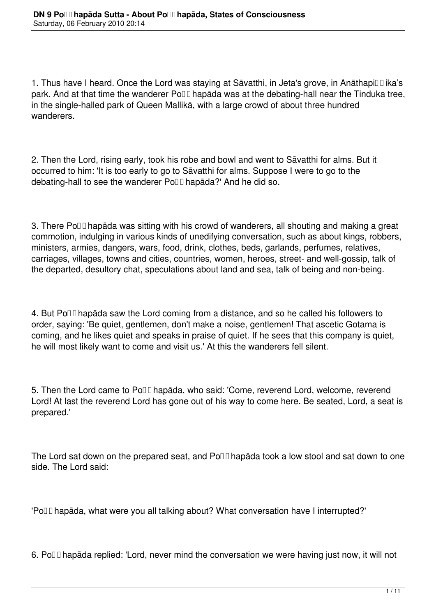1. Thus have I heard. Once the Lord was staying at Sāvatthi, in Jeta's grove, in Anāthapi $\Box$ ika's park. And at that time the wanderer Po<sub>[1]</sub> hapada was at the debating-hall near the Tinduka tree, in the single-halled park of Queen Mallikā, with a large crowd of about three hundred wanderers.

2. Then the Lord, rising early, took his robe and bowl and went to Sāvatthi for alms. But it occurred to him: 'It is too early to go to Sāvatthi for alms. Suppose I were to go to the debating-hall to see the wanderer Poll hapada?' And he did so.

3. There Po $\Box$  hapāda was sitting with his crowd of wanderers, all shouting and making a great commotion, indulging in various kinds of unedifying conversation, such as about kings, robbers, ministers, armies, dangers, wars, food, drink, clothes, beds, garlands, perfumes, relatives, carriages, villages, towns and cities, countries, women, heroes, street- and well-gossip, talk of the departed, desultory chat, speculations about land and sea, talk of being and non-being.

4. But Pollhapada saw the Lord coming from a distance, and so he called his followers to order, saying: 'Be quiet, gentlemen, don't make a noise, gentlemen! That ascetic Gotama is coming, and he likes quiet and speaks in praise of quiet. If he sees that this company is quiet, he will most likely want to come and visit us.' At this the wanderers fell silent.

5. Then the Lord came to Po<sub>[[]</sub> hapada, who said: 'Come, reverend Lord, welcome, reverend Lord! At last the reverend Lord has gone out of his way to come here. Be seated, Lord, a seat is prepared.'

The Lord sat down on the prepared seat, and  $Po[]$  hapada took a low stool and sat down to one side. The Lord said:

'Po $\Box$  hapāda, what were you all talking about? What conversation have I interrupted?'

6. Po $\Box$  hapāda replied: 'Lord, never mind the conversation we were having just now, it will not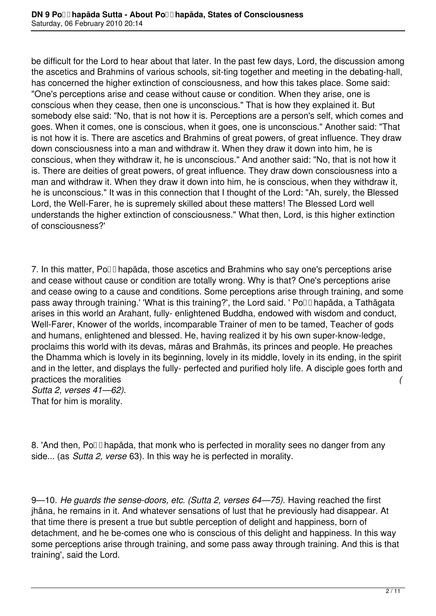be difficult for the Lord to hear about that later. In the past few days, Lord, the discussion among the ascetics and Brahmins of various schools, sit-ting together and meeting in the debating-hall, has concerned the higher extinction of consciousness, and how this takes place. Some said: "One's perceptions arise and cease without cause or condition. When they arise, one is conscious when they cease, then one is unconscious." That is how they explained it. But somebody else said: "No, that is not how it is. Perceptions are a person's self, which comes and goes. When it comes, one is conscious, when it goes, one is unconscious." Another said: "That is not how it is. There are ascetics and Brahmins of great powers, of great influence. They draw down consciousness into a man and withdraw it. When they draw it down into him, he is conscious, when they withdraw it, he is unconscious." And another said: "No, that is not how it is. There are deities of great powers, of great influence. They draw down consciousness into a man and withdraw it. When they draw it down into him, he is conscious, when they withdraw it, he is unconscious." It was in this connection that I thought of the Lord: "Ah, surely, the Blessed Lord, the Well-Farer, he is supremely skilled about these matters! The Blessed Lord well understands the higher extinction of consciousness." What then, Lord, is this higher extinction of consciousness?'

7. In this matter, Po<sub>[[]</sub> hapāda, those ascetics and Brahmins who say one's perceptions arise and cease without cause or condition are totally wrong. Why is that? One's perceptions arise and cease owing to a cause and conditions. Some perceptions arise through training, and some pass away through training.' 'What is this training?', the Lord said. ' Po<sub>n</sub> hapāda, a Tathāgata arises in this world an Arahant, fully- enlightened Buddha, endowed with wisdom and conduct, Well-Farer, Knower of the worlds, incomparable Trainer of men to be tamed, Teacher of gods and humans, enlightened and blessed. He, having realized it by his own super-know-ledge, proclaims this world with its devas, māras and Brahmās, its princes and people. He preaches the Dhamma which is lovely in its beginning, lovely in its middle, lovely in its ending, in the spirit and in the letter, and displays the fully- perfected and purified holy life. A disciple goes forth and practices the moralities *( Sutta 2, verses 41—62).* That for him is morality.

8. 'And then, Po<sub>[[]</sub> hapada, that monk who is perfected in morality sees no danger from any side... (as *Sutta 2, verse* 63). In this way he is perfected in morality.

9—10. *He guards the sense-doors, etc. (Sutta 2, verses 64—75).* Having reached the first jhāna, he remains in it. And whatever sensations of lust that he previously had disappear. At that time there is present a true but subtle perception of delight and happiness, born of detachment, and he be-comes one who is conscious of this delight and happiness. In this way some perceptions arise through training, and some pass away through training. And this is that training', said the Lord.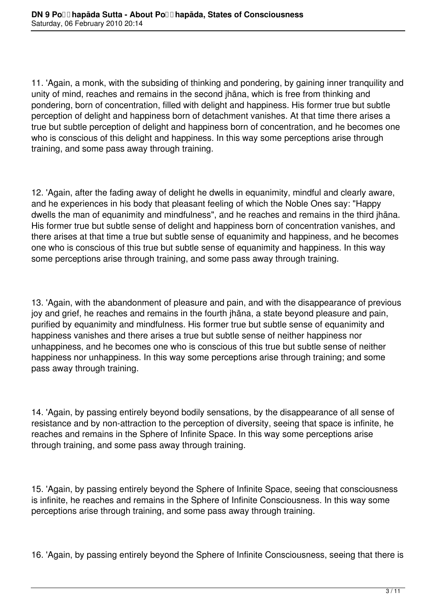11. 'Again, a monk, with the subsiding of thinking and pondering, by gaining inner tranquility and unity of mind, reaches and remains in the second jhāna, which is free from thinking and pondering, born of concentration, filled with delight and happiness. His former true but subtle perception of delight and happiness born of detachment vanishes. At that time there arises a true but subtle perception of delight and happiness born of concentration, and he becomes one who is conscious of this delight and happiness. In this way some perceptions arise through training, and some pass away through training.

12. 'Again, after the fading away of delight he dwells in equanimity, mindful and clearly aware, and he experiences in his body that pleasant feeling of which the Noble Ones say: "Happy dwells the man of equanimity and mindfulness", and he reaches and remains in the third jhāna. His former true but subtle sense of delight and happiness born of concentration vanishes, and there arises at that time a true but subtle sense of equanimity and happiness, and he becomes one who is conscious of this true but subtle sense of equanimity and happiness. In this way some perceptions arise through training, and some pass away through training.

13. 'Again, with the abandonment of pleasure and pain, and with the disappearance of previous joy and grief, he reaches and remains in the fourth jhāna, a state beyond pleasure and pain, purified by equanimity and mindfulness. His former true but subtle sense of equanimity and happiness vanishes and there arises a true but subtle sense of neither happiness nor unhappiness, and he becomes one who is conscious of this true but subtle sense of neither happiness nor unhappiness. In this way some perceptions arise through training; and some pass away through training.

14. 'Again, by passing entirely beyond bodily sensations, by the disappearance of all sense of resistance and by non-attraction to the perception of diversity, seeing that space is infinite, he reaches and remains in the Sphere of Infinite Space. In this way some perceptions arise through training, and some pass away through training.

15. 'Again, by passing entirely beyond the Sphere of Infinite Space, seeing that consciousness is infinite, he reaches and remains in the Sphere of Infinite Consciousness. In this way some perceptions arise through training, and some pass away through training.

16. 'Again, by passing entirely beyond the Sphere of Infinite Consciousness, seeing that there is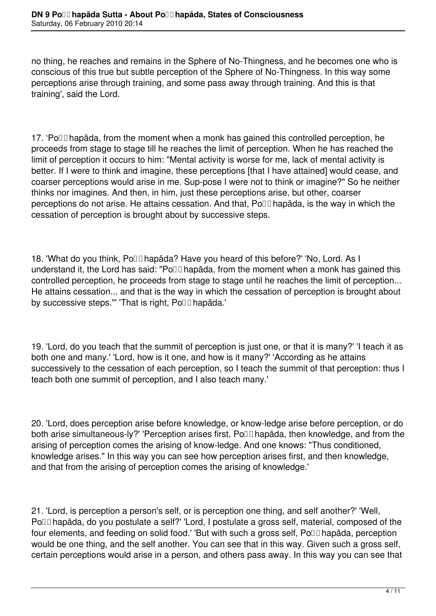no thing, he reaches and remains in the Sphere of No-Thingness, and he becomes one who is conscious of this true but subtle perception of the Sphere of No-Thingness. In this way some perceptions arise through training, and some pass away through training. And this is that training', said the Lord.

17. 'Po $\Box$  hapāda, from the moment when a monk has gained this controlled perception, he proceeds from stage to stage till he reaches the limit of perception. When he has reached the limit of perception it occurs to him: "Mental activity is worse for me, lack of mental activity is better. If I were to think and imagine, these perceptions [that I have attained] would cease, and coarser perceptions would arise in me. Sup-pose I were not to think or imagine?" So he neither thinks nor imagines. And then, in him, just these perceptions arise, but other, coarser perceptions do not arise. He attains cessation. And that, Po<sub>[[]</sub> hapada, is the way in which the cessation of perception is brought about by successive steps.

18. 'What do you think, Po<sub>[[]</sub> hapāda? Have you heard of this before?' 'No, Lord. As I understand it, the Lord has said: "Po<sub>[[]</sub> hapāda, from the moment when a monk has gained this controlled perception, he proceeds from stage to stage until he reaches the limit of perception... He attains cessation... and that is the way in which the cessation of perception is brought about by successive steps." 'That is right, Pollu hapāda.'

19. 'Lord, do you teach that the summit of perception is just one, or that it is many?' 'I teach it as both one and many.' 'Lord, how is it one, and how is it many?' 'According as he attains successively to the cessation of each perception, so I teach the summit of that perception: thus I teach both one summit of perception, and I also teach many.'

20. 'Lord, does perception arise before knowledge, or know-ledge arise before perception, or do both arise simultaneous-ly?' 'Perception arises first, Po<sub>[[]</sub> hapada, then knowledge, and from the arising of perception comes the arising of know-ledge. And one knows: "Thus conditioned, knowledge arises." In this way you can see how perception arises first, and then knowledge, and that from the arising of perception comes the arising of knowledge.'

21. 'Lord, is perception a person's self, or is perception one thing, and self another?' 'Well, Po $\Box$  hapāda, do you postulate a self?' 'Lord, I postulate a gross self, material, composed of the four elements, and feeding on solid food.' 'But with such a gross self, Po<sub>[[]</sub> hapada, perception would be one thing, and the self another. You can see that in this way. Given such a gross self, certain perceptions would arise in a person, and others pass away. In this way you can see that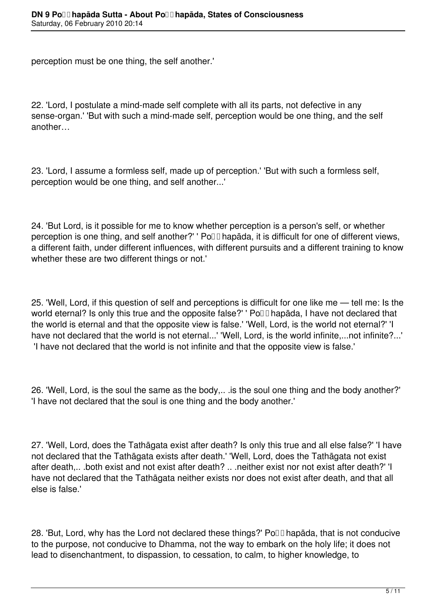perception must be one thing, the self another.'

22. 'Lord, I postulate a mind-made self complete with all its parts, not defective in any sense-organ.' 'But with such a mind-made self, perception would be one thing, and the self another…

23. 'Lord, I assume a formless self, made up of perception.' 'But with such a formless self, perception would be one thing, and self another...'

24. 'But Lord, is it possible for me to know whether perception is a person's self, or whether perception is one thing, and self another?' ' Po<sub>[[]</sub> hapada, it is difficult for one of different views, a different faith, under different influences, with different pursuits and a different training to know whether these are two different things or not.'

25. 'Well, Lord, if this question of self and perceptions is difficult for one like me — tell me: Is the world eternal? Is only this true and the opposite false?' ' Poll hapada, I have not declared that the world is eternal and that the opposite view is false.' 'Well, Lord, is the world not eternal?' 'I have not declared that the world is not eternal...' 'Well, Lord, is the world infinite,...not infinite?...' 'I have not declared that the world is not infinite and that the opposite view is false.'

26. 'Well, Lord, is the soul the same as the body,.. .is the soul one thing and the body another?' 'I have not declared that the soul is one thing and the body another.'

27. 'Well, Lord, does the Tathāgata exist after death? Is only this true and all else false?' 'I have not declared that the Tathāgata exists after death.' 'Well, Lord, does the Tathāgata not exist after death,.. .both exist and not exist after death? .. .neither exist nor not exist after death?' 'I have not declared that the Tathāgata neither exists nor does not exist after death, and that all else is false.'

28. 'But, Lord, why has the Lord not declared these things?' Po<sub>[[]</sub> hapada, that is not conducive to the purpose, not conducive to Dhamma, not the way to embark on the holy life; it does not lead to disenchantment, to dispassion, to cessation, to calm, to higher knowledge, to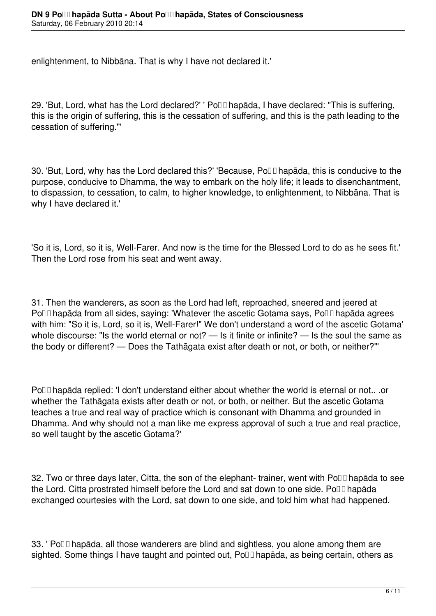enlightenment, to Nibbāna. That is why I have not declared it.'

29. 'But, Lord, what has the Lord declared?' ' Poll hapada, I have declared: "This is suffering, this is the origin of suffering, this is the cessation of suffering, and this is the path leading to the cessation of suffering."'

30. 'But, Lord, why has the Lord declared this?' 'Because, Po<sub>[[]</sub> hapada, this is conducive to the purpose, conducive to Dhamma, the way to embark on the holy life; it leads to disenchantment, to dispassion, to cessation, to calm, to higher knowledge, to enlightenment, to Nibbāna. That is why I have declared it.'

'So it is, Lord, so it is, Well-Farer. And now is the time for the Blessed Lord to do as he sees fit.' Then the Lord rose from his seat and went away.

31. Then the wanderers, as soon as the Lord had left, reproached, sneered and jeered at Po**<b>n** hapāda from all sides, saying: 'Whatever the ascetic Gotama says, Ponn hapāda agrees with him: "So it is, Lord, so it is, Well-Farer!" We don't understand a word of the ascetic Gotama' whole discourse: "Is the world eternal or not? — Is it finite or infinite? — Is the soul the same as the body or different? — Does the Tathāgata exist after death or not, or both, or neither?"'

Poll hapada replied: 'I don't understand either about whether the world is eternal or not.. .or whether the Tathāgata exists after death or not, or both, or neither. But the ascetic Gotama teaches a true and real way of practice which is consonant with Dhamma and grounded in Dhamma. And why should not a man like me express approval of such a true and real practice, so well taught by the ascetic Gotama?'

32. Two or three days later, Citta, the son of the elephant- trainer, went with Po $\Box$  hapada to see the Lord. Citta prostrated himself before the Lord and sat down to one side. Poll hapada exchanged courtesies with the Lord, sat down to one side, and told him what had happened.

 $33.$  ' Po $\Box$  hapāda, all those wanderers are blind and sightless, you alone among them are sighted. Some things I have taught and pointed out, Po<sub>[[]</sub> hapada, as being certain, others as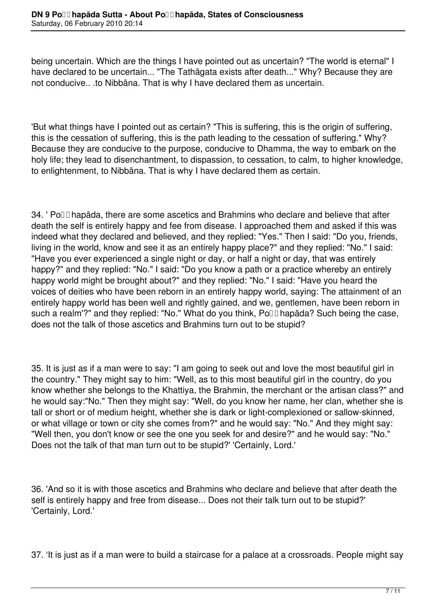being uncertain. Which are the things I have pointed out as uncertain? "The world is eternal" I have declared to be uncertain... "The Tathāgata exists after death..." Why? Because they are not conducive.. .to Nibbāna. That is why I have declared them as uncertain.

'But what things have I pointed out as certain? "This is suffering, this is the origin of suffering, this is the cessation of suffering, this is the path leading to the cessation of suffering." Why? Because they are conducive to the purpose, conducive to Dhamma, the way to embark on the holy life; they lead to disenchantment, to dispassion, to cessation, to calm, to higher knowledge, to enlightenment, to Nibbāna. That is why I have declared them as certain.

34. ' Po<sub>[[]</sub> hapāda, there are some ascetics and Brahmins who declare and believe that after death the self is entirely happy and fee from disease. I approached them and asked if this was indeed what they declared and believed, and they replied: "Yes." Then I said: "Do you, friends, living in the world, know and see it as an entirely happy place?" and they replied: "No." I said: "Have you ever experienced a single night or day, or half a night or day, that was entirely happy?" and they replied: "No." I said: "Do you know a path or a practice whereby an entirely happy world might be brought about?" and they replied: "No." I said: "Have you heard the voices of deities who have been reborn in an entirely happy world, saying: The attainment of an entirely happy world has been well and rightly gained, and we, gentlemen, have been reborn in such a realm'?" and they replied: "No." What do you think, Po<sub>[[]</sub> hapada? Such being the case, does not the talk of those ascetics and Brahmins turn out to be stupid?

35. It is just as if a man were to say: "I am going to seek out and love the most beautiful girl in the country." They might say to him: "Well, as to this most beautiful girl in the country, do you know whether she belongs to the Khattiya, the Brahmin, the merchant or the artisan class?" and he would say:"No." Then they might say: "Well, do you know her name, her clan, whether she is tall or short or of medium height, whether she is dark or light-complexioned or sallow-skinned, or what village or town or city she comes from?" and he would say: "No." And they might say: "Well then, you don't know or see the one you seek for and desire?" and he would say: "No." Does not the talk of that man turn out to be stupid?' 'Certainly, Lord.'

36. 'And so it is with those ascetics and Brahmins who declare and believe that after death the self is entirely happy and free from disease... Does not their talk turn out to be stupid?' 'Certainly, Lord.'

37. 'It is just as if a man were to build a staircase for a palace at a crossroads. People might say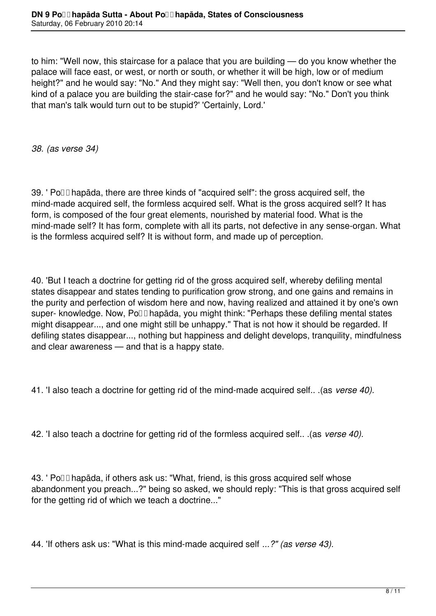to him: "Well now, this staircase for a palace that you are building — do you know whether the palace will face east, or west, or north or south, or whether it will be high, low or of medium height?" and he would say: "No." And they might say: "Well then, you don't know or see what kind of a palace you are building the stair-case for?" and he would say: "No." Don't you think that man's talk would turn out to be stupid?' 'Certainly, Lord.'

*38. (as verse 34)*

39. ' Poll hapada, there are three kinds of "acquired self": the gross acquired self, the mind-made acquired self, the formless acquired self. What is the gross acquired self? It has form, is composed of the four great elements, nourished by material food. What is the mind-made self? It has form, complete with all its parts, not defective in any sense-organ. What is the formless acquired self? It is without form, and made up of perception.

40. 'But I teach a doctrine for getting rid of the gross acquired self, whereby defiling mental states disappear and states tending to purification grow strong, and one gains and remains in the purity and perfection of wisdom here and now, having realized and attained it by one's own super- knowledge. Now, Po**llhapada, you might think: "Perhaps these** defiling mental states might disappear..., and one might still be unhappy." That is not how it should be regarded. If defiling states disappear..., nothing but happiness and delight develops, tranquility, mindfulness and clear awareness — and that is a happy state.

41. 'I also teach a doctrine for getting rid of the mind-made acquired self.. .(as *verse 40).*

42. 'I also teach a doctrine for getting rid of the formless acquired self.. .(as *verse 40).*

43. ' Pollhapada, if others ask us: "What, friend, is this gross acquired self whose abandonment you preach...?" being so asked, we should reply: "This is that gross acquired self for the getting rid of which we teach a doctrine..."

44. 'If others ask us: "What is this mind-made acquired self *...?" (as verse 43).*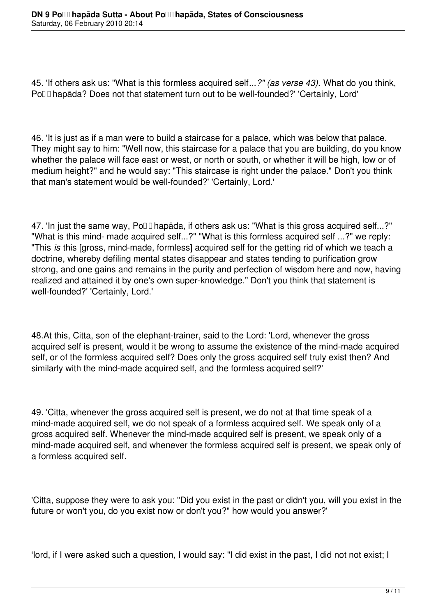45. 'If others ask us: "What is this formless acquired self*...?" (as verse 43).* What do you think, Po $\Box$  hapāda? Does not that statement turn out to be well-founded?' 'Certainly, Lord'

46. 'It is just as if a man were to build a staircase for a palace, which was below that palace. They might say to him: "Well now, this staircase for a palace that you are building, do you know whether the palace will face east or west, or north or south, or whether it will be high, low or of medium height?" and he would say: "This staircase is right under the palace." Don't you think that man's statement would be well-founded?' 'Certainly, Lord.'

47. 'In just the same way, Pollhapada, if others ask us: "What is this gross acquired self...?" "What is this mind- made acquired self...?" "What is this formless acquired self ...?" we reply: "This *is* this [gross, mind-made, formless] acquired self for the getting rid of which we teach a doctrine, whereby defiling mental states disappear and states tending to purification grow strong, and one gains and remains in the purity and perfection of wisdom here and now, having realized and attained it by one's own super-knowledge." Don't you think that statement is well-founded?' 'Certainly, Lord.'

48.At this, Citta, son of the elephant-trainer, said to the Lord: 'Lord, whenever the gross acquired self is present, would it be wrong to assume the existence of the mind-made acquired self, or of the formless acquired self? Does only the gross acquired self truly exist then? And similarly with the mind-made acquired self, and the formless acquired self?'

49. 'Citta, whenever the gross acquired self is present, we do not at that time speak of a mind-made acquired self, we do not speak of a formless acquired self. We speak only of a gross acquired self. Whenever the mind-made acquired self is present, we speak only of a mind-made acquired self, and whenever the formless acquired self is present, we speak only of a formless acquired self.

'Citta, suppose they were to ask you: "Did you exist in the past or didn't you, will you exist in the future or won't you, do you exist now or don't you?" how would you answer?'

'lord, if I were asked such a question, I would say: "I did exist in the past, I did not not exist; I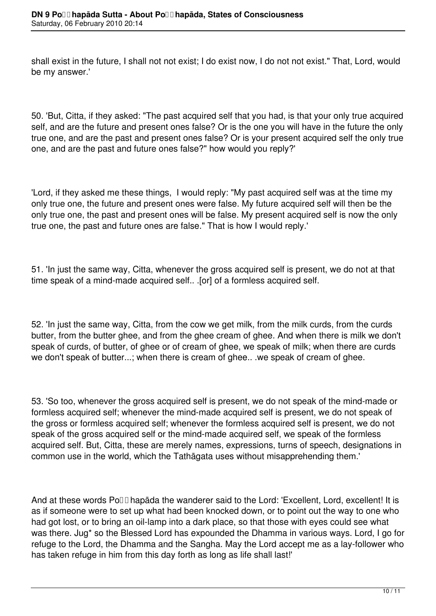shall exist in the future, I shall not not exist; I do exist now, I do not not exist." That, Lord, would be my answer.'

50. 'But, Citta, if they asked: "The past acquired self that you had, is that your only true acquired self, and are the future and present ones false? Or is the one you will have in the future the only true one, and are the past and present ones false? Or is your present acquired self the only true one, and are the past and future ones false?" how would you reply?'

'Lord, if they asked me these things, I would reply: "My past acquired self was at the time my only true one, the future and present ones were false. My future acquired self will then be the only true one, the past and present ones will be false. My present acquired self is now the only true one, the past and future ones are false." That is how I would reply.'

51. 'In just the same way, Citta, whenever the gross acquired self is present, we do not at that time speak of a mind-made acquired self.. .[or] of a formless acquired self.

52. 'In just the same way, Citta, from the cow we get milk, from the milk curds, from the curds butter, from the butter ghee, and from the ghee cream of ghee. And when there is milk we don't speak of curds, of butter, of ghee or of cream of ghee, we speak of milk; when there are curds we don't speak of butter...; when there is cream of ghee.. .we speak of cream of ghee.

53. 'So too, whenever the gross acquired self is present, we do not speak of the mind-made or formless acquired self; whenever the mind-made acquired self is present, we do not speak of the gross or formless acquired self; whenever the formless acquired self is present, we do not speak of the gross acquired self or the mind-made acquired self, we speak of the formless acquired self. But, Citta, these are merely names, expressions, turns of speech, designations in common use in the world, which the Tathāgata uses without misapprehending them.'

And at these words Po<sub>[[]</sub> hapada the wanderer said to the Lord: 'Excellent, Lord, excellent! It is as if someone were to set up what had been knocked down, or to point out the way to one who had got lost, or to bring an oil-lamp into a dark place, so that those with eyes could see what was there. Jug\* so the Blessed Lord has expounded the Dhamma in various ways. Lord, I go for refuge to the Lord, the Dhamma and the Sangha. May the Lord accept me as a lay-follower who has taken refuge in him from this day forth as long as life shall last!'